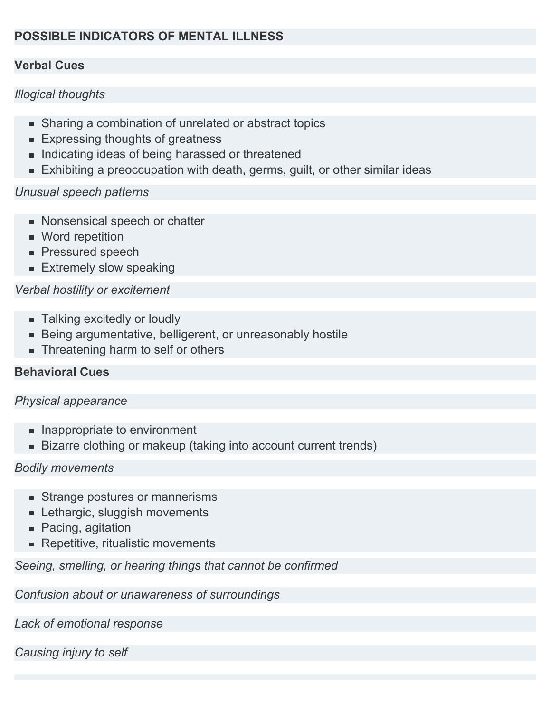# **POSSIBLE INDICATORS OF MENTAL ILLNESS**

### **Verbal Cues**

## *Illogical thoughts*

- Sharing a combination of unrelated or abstract topics
- **Expressing thoughts of greatness**
- **Indicating ideas of being harassed or threatened**
- **Exhibiting a preoccupation with death, germs, guilt, or other similar ideas**

#### *Unusual speech patterns*

- **Nonsensical speech or chatter**
- **Word repetition**
- **Pressured speech**
- **Extremely slow speaking**

## *Verbal hostility or excitement*

- **Talking excitedly or loudly**
- **Being argumentative, belligerent, or unreasonably hostile**
- Threatening harm to self or others

## **Behavioral Cues**

#### *Physical appearance*

- **Inappropriate to environment**
- **Bizarre clothing or makeup (taking into account current trends)**

#### *Bodily movements*

- **Strange postures or mannerisms**
- **Lethargic, sluggish movements**
- Pacing, agitation
- Repetitive, ritualistic movements

*Seeing, smelling, or hearing things that cannot be confirmed*

*Confusion about or unawareness of surroundings*

*Lack of emotional response*

*Causing injury to self*